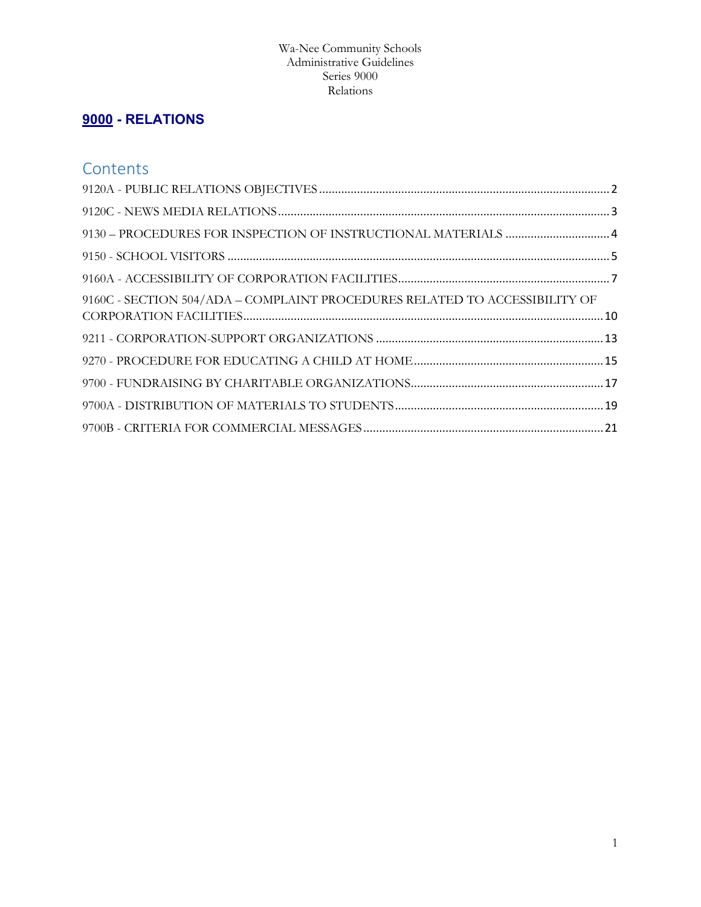# **[9000](http://www.neola.com/wanee-in/policies/po9000.htm) - RELATIONS**

# **Contents**

| 9160C - SECTION 504/ADA – COMPLAINT PROCEDURES RELATED TO ACCESSIBILITY OF |  |
|----------------------------------------------------------------------------|--|
|                                                                            |  |
|                                                                            |  |
|                                                                            |  |
|                                                                            |  |
|                                                                            |  |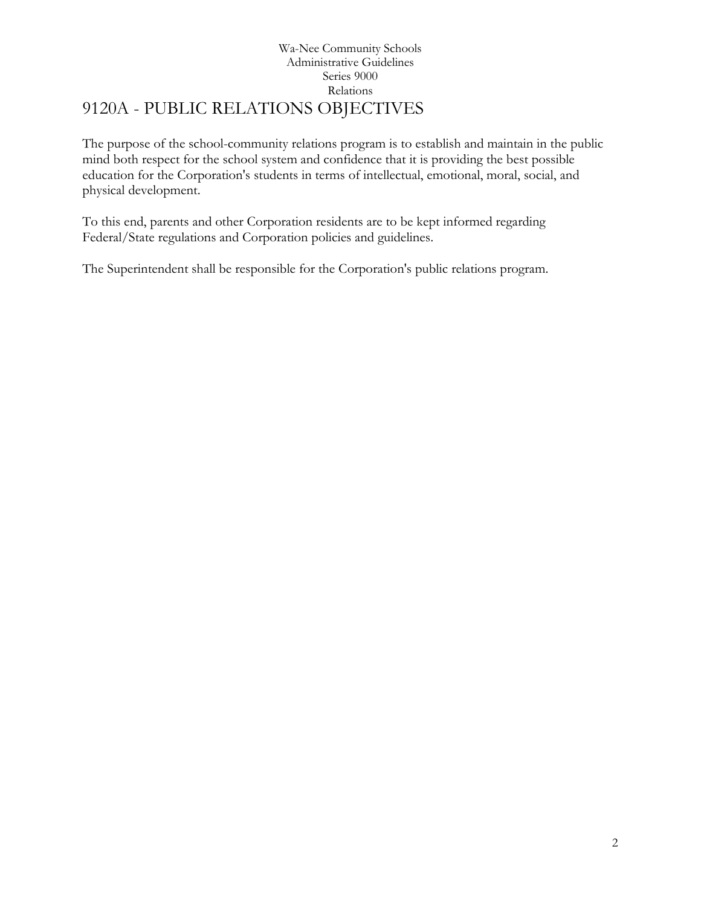# Wa-Nee Community Schools Administrative Guidelines Series 9000 Relations 9120A - PUBLIC RELATIONS OBJECTIVES

<span id="page-1-0"></span>The purpose of the school-community relations program is to establish and maintain in the public mind both respect for the school system and confidence that it is providing the best possible education for the Corporation's students in terms of intellectual, emotional, moral, social, and physical development.

To this end, parents and other Corporation residents are to be kept informed regarding Federal/State regulations and Corporation policies and guidelines.

The Superintendent shall be responsible for the Corporation's public relations program.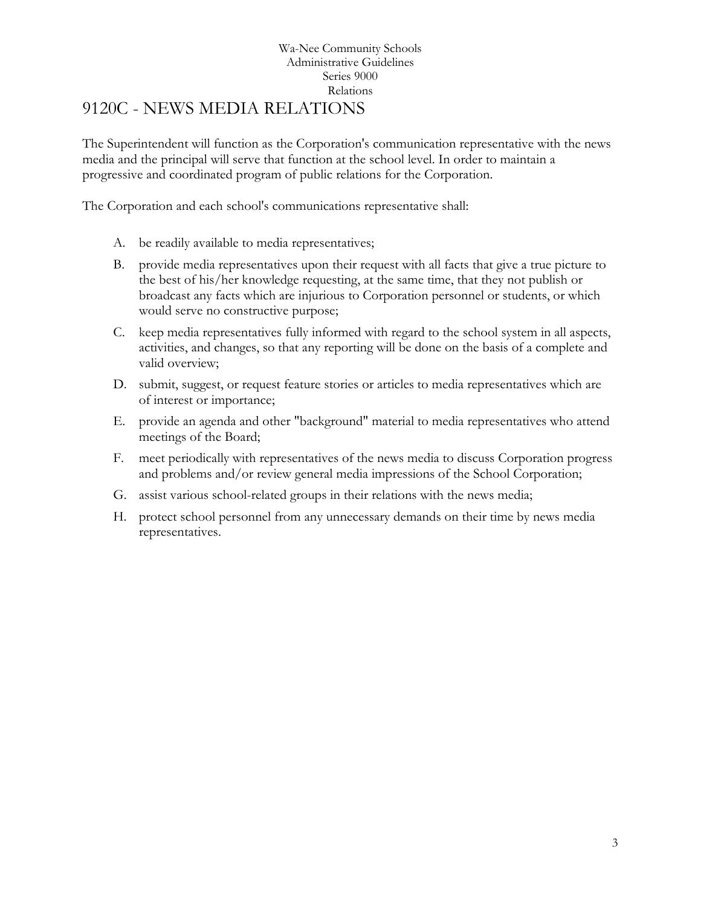### Wa-Nee Community Schools Administrative Guidelines Series 9000 Relations 9120C - NEWS MEDIA RELATIONS

<span id="page-2-0"></span>The Superintendent will function as the Corporation's communication representative with the news media and the principal will serve that function at the school level. In order to maintain a progressive and coordinated program of public relations for the Corporation.

The Corporation and each school's communications representative shall:

- A. be readily available to media representatives;
- B. provide media representatives upon their request with all facts that give a true picture to the best of his/her knowledge requesting, at the same time, that they not publish or broadcast any facts which are injurious to Corporation personnel or students, or which would serve no constructive purpose;
- C. keep media representatives fully informed with regard to the school system in all aspects, activities, and changes, so that any reporting will be done on the basis of a complete and valid overview;
- D. submit, suggest, or request feature stories or articles to media representatives which are of interest or importance;
- E. provide an agenda and other "background" material to media representatives who attend meetings of the Board;
- F. meet periodically with representatives of the news media to discuss Corporation progress and problems and/or review general media impressions of the School Corporation;
- G. assist various school-related groups in their relations with the news media;
- H. protect school personnel from any unnecessary demands on their time by news media representatives.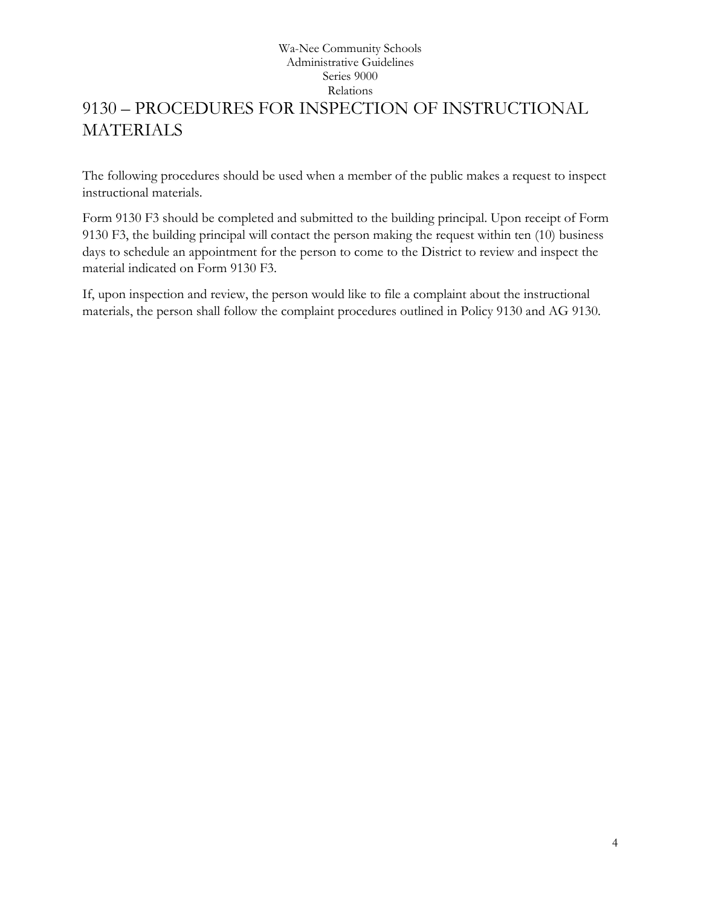# <span id="page-3-0"></span>Wa-Nee Community Schools Administrative Guidelines Series 9000 Relations 9130 – PROCEDURES FOR INSPECTION OF INSTRUCTIONAL **MATERIALS**

The following procedures should be used when a member of the public makes a request to inspect instructional materials.

[Form 9130 F3](https://files.neola.com/hillman-mi/search/forms/fm9130F3.pdf) should be completed and submitted to the building principal. Upon receipt of [Form](https://files.neola.com/hillman-mi/search/forms/fm9130F3.pdf)  [9130 F3,](https://files.neola.com/hillman-mi/search/forms/fm9130F3.pdf) the building principal will contact the person making the request within ten (10) business days to schedule an appointment for the person to come to the District to review and inspect the material indicated on [Form 9130 F3.](https://files.neola.com/hillman-mi/search/forms/fm9130F3.pdf)

If, upon inspection and review, the person would like to file a complaint about the instructional materials, the person shall follow the complaint procedures outlined in Policy [9130](https://files.neola.com/hillman-mi/search/policies/po9130.htm) and AG [9130.](https://files.neola.com/hillman-mi/search/ag/ag9130.htm)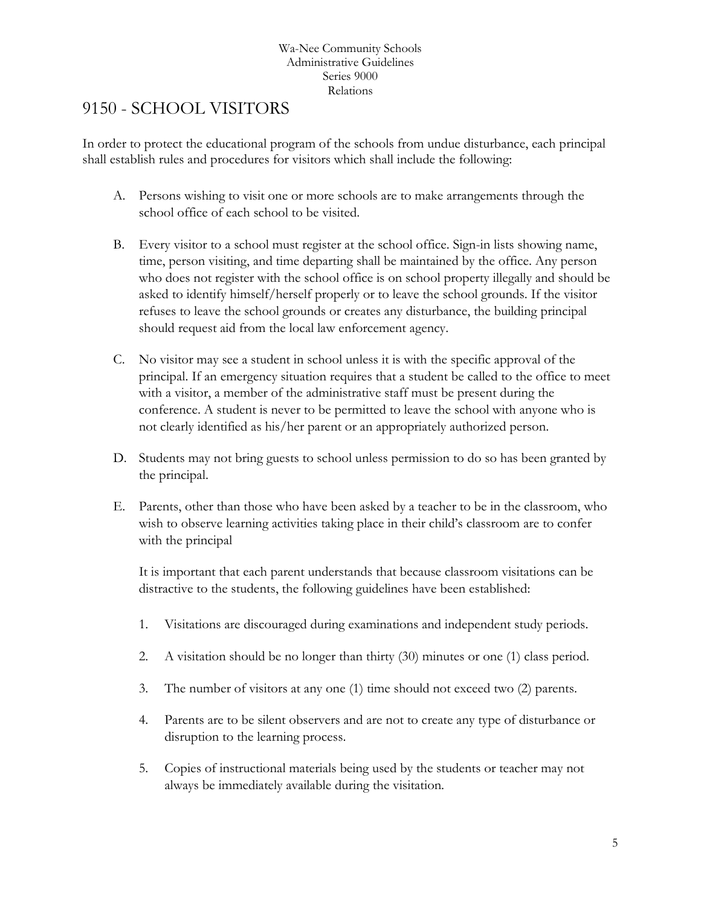# <span id="page-4-0"></span>[9150](http://www.neola.com/wanee-in/search/policies/po9150.htm) - SCHOOL VISITORS

In order to protect the educational program of the schools from undue disturbance, each principal shall establish rules and procedures for visitors which shall include the following:

- A. Persons wishing to visit one or more schools are to make arrangements through the school office of each school to be visited.
- B. Every visitor to a school must register at the school office. Sign-in lists showing name, time, person visiting, and time departing shall be maintained by the office. Any person who does not register with the school office is on school property illegally and should be asked to identify himself/herself properly or to leave the school grounds. If the visitor refuses to leave the school grounds or creates any disturbance, the building principal should request aid from the local law enforcement agency.
- C. No visitor may see a student in school unless it is with the specific approval of the principal. If an emergency situation requires that a student be called to the office to meet with a visitor, a member of the administrative staff must be present during the conference. A student is never to be permitted to leave the school with anyone who is not clearly identified as his/her parent or an appropriately authorized person.
- D. Students may not bring guests to school unless permission to do so has been granted by the principal.
- E. Parents, other than those who have been asked by a teacher to be in the classroom, who wish to observe learning activities taking place in their child's classroom are to confer with the principal

It is important that each parent understands that because classroom visitations can be distractive to the students, the following guidelines have been established:

- 1. Visitations are discouraged during examinations and independent study periods.
- 2. A visitation should be no longer than thirty (30) minutes or one (1) class period.
- 3. The number of visitors at any one (1) time should not exceed two (2) parents.
- 4. Parents are to be silent observers and are not to create any type of disturbance or disruption to the learning process.
- 5. Copies of instructional materials being used by the students or teacher may not always be immediately available during the visitation.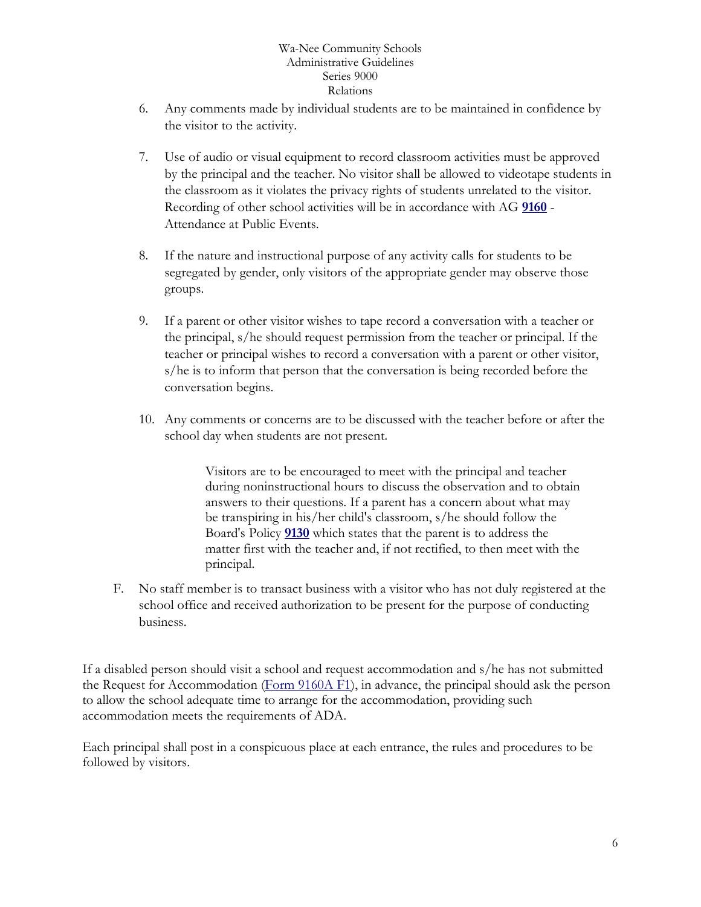- 6. Any comments made by individual students are to be maintained in confidence by the visitor to the activity.
- 7. Use of audio or visual equipment to record classroom activities must be approved by the principal and the teacher. No visitor shall be allowed to videotape students in the classroom as it violates the privacy rights of students unrelated to the visitor. Recording of other school activities will be in accordance with AG **[9160](http://www.neola.com/wanee-in/search/ag/ag9160.htm)** - Attendance at Public Events.
- 8. If the nature and instructional purpose of any activity calls for students to be segregated by gender, only visitors of the appropriate gender may observe those groups.
- 9. If a parent or other visitor wishes to tape record a conversation with a teacher or the principal, s/he should request permission from the teacher or principal. If the teacher or principal wishes to record a conversation with a parent or other visitor, s/he is to inform that person that the conversation is being recorded before the conversation begins.
- 10. Any comments or concerns are to be discussed with the teacher before or after the school day when students are not present.

Visitors are to be encouraged to meet with the principal and teacher during noninstructional hours to discuss the observation and to obtain answers to their questions. If a parent has a concern about what may be transpiring in his/her child's classroom, s/he should follow the Board's Policy **[9130](http://www.neola.com/wanee-in/search/policies/po9130.htm)** which states that the parent is to address the matter first with the teacher and, if not rectified, to then meet with the principal.

F. No staff member is to transact business with a visitor who has not duly registered at the school office and received authorization to be present for the purpose of conducting business.

If a disabled person should visit a school and request accommodation and s/he has not submitted the Request for Accommodation [\(Form 9160A F1\)](http://www.neola.com/wanee-in/search/forms/fm9160AF1.pdf), in advance, the principal should ask the person to allow the school adequate time to arrange for the accommodation, providing such accommodation meets the requirements of ADA.

Each principal shall post in a conspicuous place at each entrance, the rules and procedures to be followed by visitors.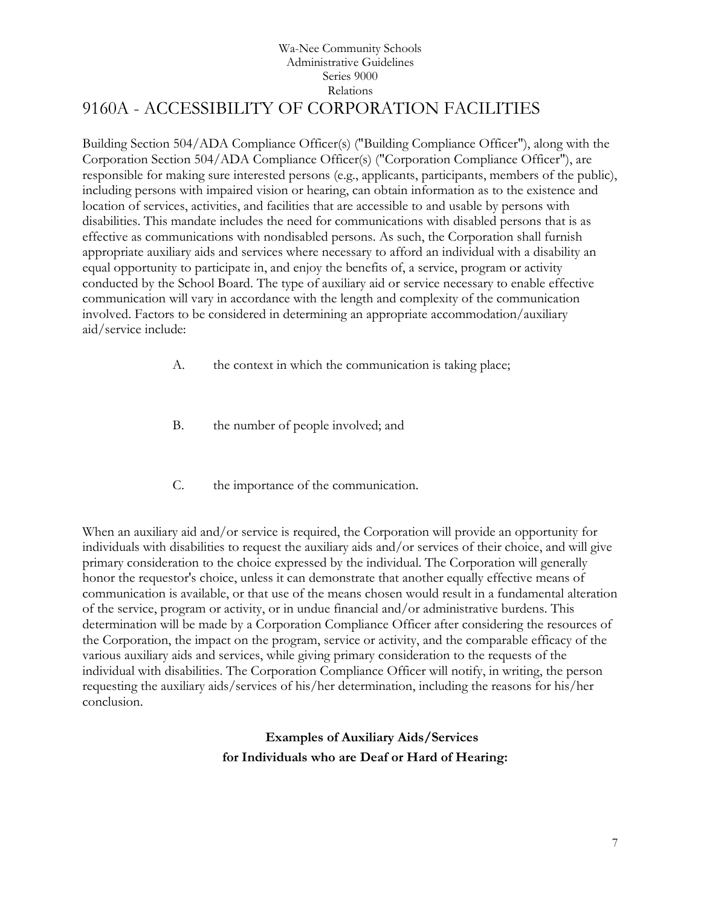## Wa-Nee Community Schools Administrative Guidelines Series 9000 Relations 9160A - ACCESSIBILITY OF CORPORATION FACILITIES

<span id="page-6-0"></span>Building Section 504/ADA Compliance Officer(s) ("Building Compliance Officer"), along with the Corporation Section 504/ADA Compliance Officer(s) ("Corporation Compliance Officer"), are responsible for making sure interested persons (e.g., applicants, participants, members of the public), including persons with impaired vision or hearing, can obtain information as to the existence and location of services, activities, and facilities that are accessible to and usable by persons with disabilities. This mandate includes the need for communications with disabled persons that is as effective as communications with nondisabled persons. As such, the Corporation shall furnish appropriate auxiliary aids and services where necessary to afford an individual with a disability an equal opportunity to participate in, and enjoy the benefits of, a service, program or activity conducted by the School Board. The type of auxiliary aid or service necessary to enable effective communication will vary in accordance with the length and complexity of the communication involved. Factors to be considered in determining an appropriate accommodation/auxiliary aid/service include:

- A. the context in which the communication is taking place;
- B. the number of people involved; and
- C. the importance of the communication.

When an auxiliary aid and/or service is required, the Corporation will provide an opportunity for individuals with disabilities to request the auxiliary aids and/or services of their choice, and will give primary consideration to the choice expressed by the individual. The Corporation will generally honor the requestor's choice, unless it can demonstrate that another equally effective means of communication is available, or that use of the means chosen would result in a fundamental alteration of the service, program or activity, or in undue financial and/or administrative burdens. This determination will be made by a Corporation Compliance Officer after considering the resources of the Corporation, the impact on the program, service or activity, and the comparable efficacy of the various auxiliary aids and services, while giving primary consideration to the requests of the individual with disabilities. The Corporation Compliance Officer will notify, in writing, the person requesting the auxiliary aids/services of his/her determination, including the reasons for his/her conclusion.

# **Examples of Auxiliary Aids/Services for Individuals who are Deaf or Hard of Hearing:**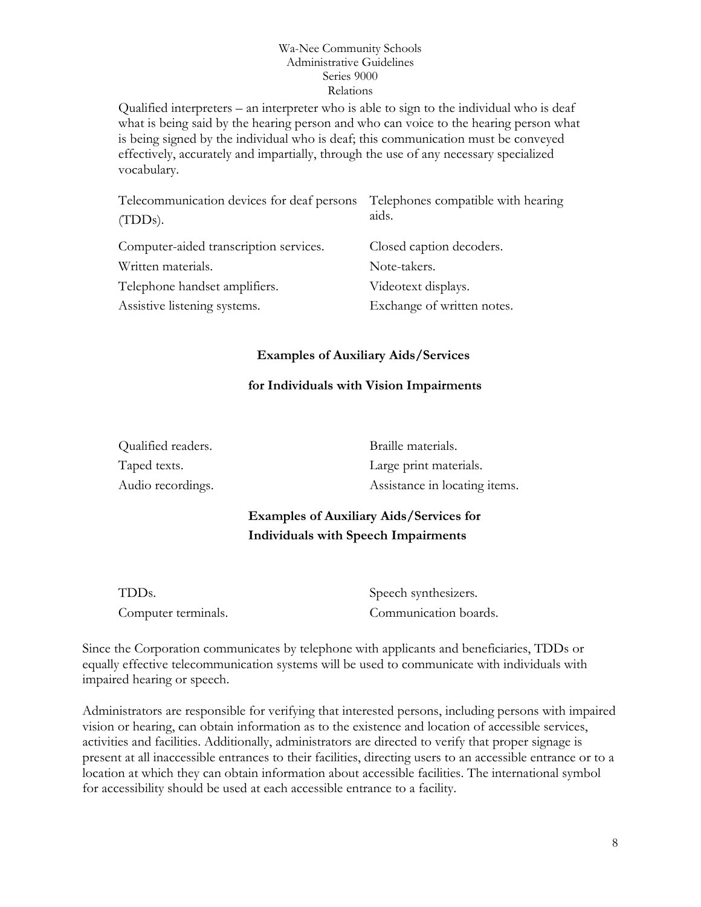Qualified interpreters – an interpreter who is able to sign to the individual who is deaf what is being said by the hearing person and who can voice to the hearing person what is being signed by the individual who is deaf; this communication must be conveyed effectively, accurately and impartially, through the use of any necessary specialized vocabulary.

| Telecommunication devices for deaf persons<br>$(TDDs)$ . | Telephones compatible with hearing<br>aids. |
|----------------------------------------------------------|---------------------------------------------|
| Computer-aided transcription services.                   | Closed caption decoders.                    |
| Written materials.                                       | Note-takers.                                |
| Telephone handset amplifiers.                            | Videotext displays.                         |
| Assistive listening systems.                             | Exchange of written notes.                  |

## **Examples of Auxiliary Aids/Services**

## **for Individuals with Vision Impairments**

| Qualified readers. | Braille materials.            |
|--------------------|-------------------------------|
| Taped texts.       | Large print materials.        |
| Audio recordings.  | Assistance in locating items. |

# **Examples of Auxiliary Aids/Services for Individuals with Speech Impairments**

| TDDs.               | Speech synthesizers.  |
|---------------------|-----------------------|
| Computer terminals. | Communication boards. |

Since the Corporation communicates by telephone with applicants and beneficiaries, TDDs or equally effective telecommunication systems will be used to communicate with individuals with impaired hearing or speech.

Administrators are responsible for verifying that interested persons, including persons with impaired vision or hearing, can obtain information as to the existence and location of accessible services, activities and facilities. Additionally, administrators are directed to verify that proper signage is present at all inaccessible entrances to their facilities, directing users to an accessible entrance or to a location at which they can obtain information about accessible facilities. The international symbol for accessibility should be used at each accessible entrance to a facility.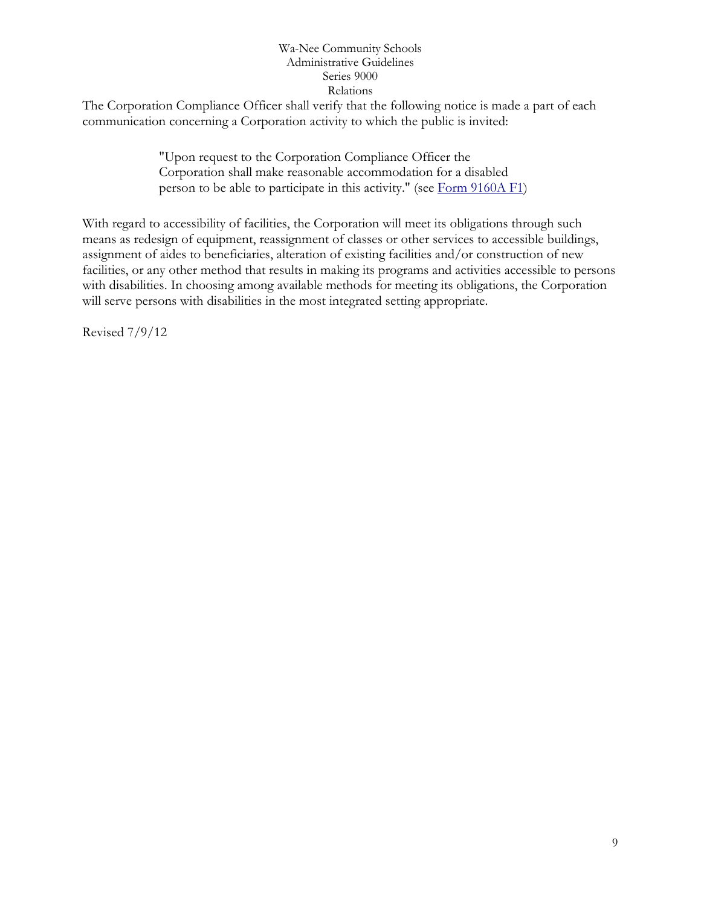The Corporation Compliance Officer shall verify that the following notice is made a part of each communication concerning a Corporation activity to which the public is invited:

> "Upon request to the Corporation Compliance Officer the Corporation shall make reasonable accommodation for a disabled person to be able to participate in this activity." (see [Form 9160A F1\)](http://www.neola.com/wanee-in/search/forms/fm9160AF1.pdf)

With regard to accessibility of facilities, the Corporation will meet its obligations through such means as redesign of equipment, reassignment of classes or other services to accessible buildings, assignment of aides to beneficiaries, alteration of existing facilities and/or construction of new facilities, or any other method that results in making its programs and activities accessible to persons with disabilities. In choosing among available methods for meeting its obligations, the Corporation will serve persons with disabilities in the most integrated setting appropriate.

Revised 7/9/12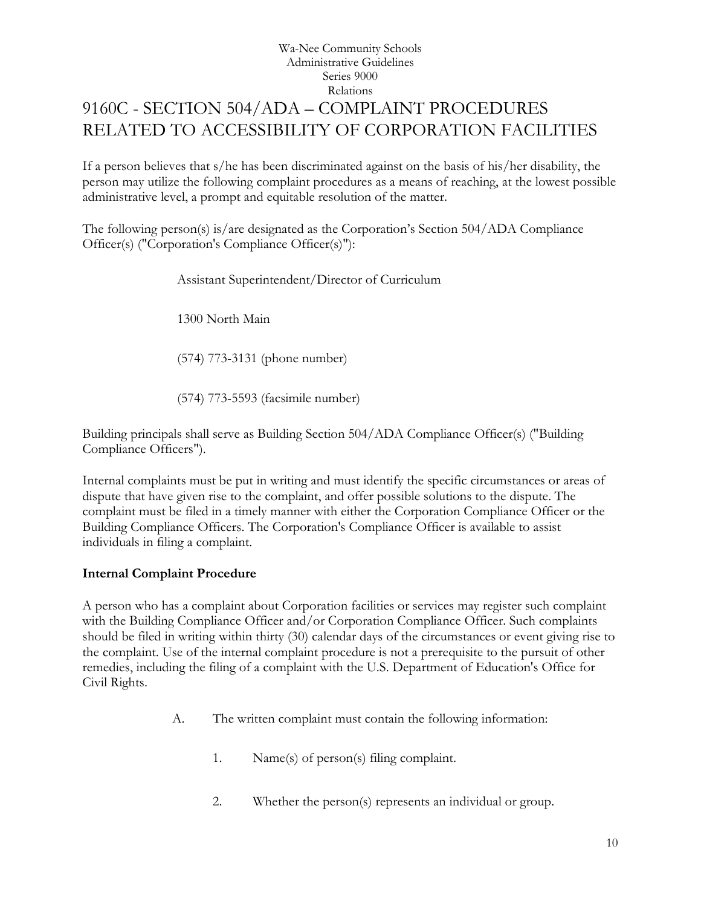# <span id="page-9-0"></span>Wa-Nee Community Schools Administrative Guidelines Series 9000 Relations 9160C - SECTION 504/ADA – COMPLAINT PROCEDURES RELATED TO ACCESSIBILITY OF CORPORATION FACILITIES

If a person believes that s/he has been discriminated against on the basis of his/her disability, the person may utilize the following complaint procedures as a means of reaching, at the lowest possible administrative level, a prompt and equitable resolution of the matter.

The following person(s) is/are designated as the Corporation's Section 504/ADA Compliance Officer(s) ("Corporation's Compliance Officer(s)"):

Assistant Superintendent/Director of Curriculum

1300 North Main

(574) 773-3131 (phone number)

(574) 773-5593 (facsimile number)

Building principals shall serve as Building Section 504/ADA Compliance Officer(s) ("Building Compliance Officers").

Internal complaints must be put in writing and must identify the specific circumstances or areas of dispute that have given rise to the complaint, and offer possible solutions to the dispute. The complaint must be filed in a timely manner with either the Corporation Compliance Officer or the Building Compliance Officers. The Corporation's Compliance Officer is available to assist individuals in filing a complaint.

## **Internal Complaint Procedure**

A person who has a complaint about Corporation facilities or services may register such complaint with the Building Compliance Officer and/or Corporation Compliance Officer. Such complaints should be filed in writing within thirty (30) calendar days of the circumstances or event giving rise to the complaint. Use of the internal complaint procedure is not a prerequisite to the pursuit of other remedies, including the filing of a complaint with the U.S. Department of Education's Office for Civil Rights.

- A. The written complaint must contain the following information:
	- 1. Name(s) of person(s) filing complaint.
	- 2. Whether the person(s) represents an individual or group.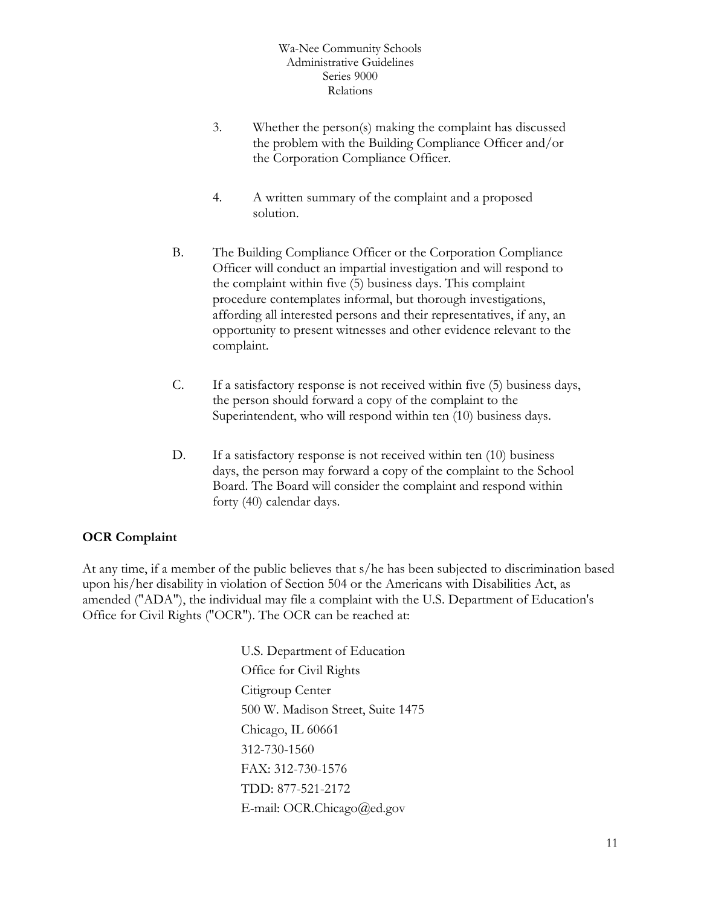- 3. Whether the person(s) making the complaint has discussed the problem with the Building Compliance Officer and/or the Corporation Compliance Officer.
- 4. A written summary of the complaint and a proposed solution.
- B. The Building Compliance Officer or the Corporation Compliance Officer will conduct an impartial investigation and will respond to the complaint within five (5) business days. This complaint procedure contemplates informal, but thorough investigations, affording all interested persons and their representatives, if any, an opportunity to present witnesses and other evidence relevant to the complaint.
- C. If a satisfactory response is not received within five (5) business days, the person should forward a copy of the complaint to the Superintendent, who will respond within ten (10) business days.
- D. If a satisfactory response is not received within ten (10) business days, the person may forward a copy of the complaint to the School Board. The Board will consider the complaint and respond within forty (40) calendar days.

## **OCR Complaint**

At any time, if a member of the public believes that s/he has been subjected to discrimination based upon his/her disability in violation of Section 504 or the Americans with Disabilities Act, as amended ("ADA"), the individual may file a complaint with the U.S. Department of Education's Office for Civil Rights ("OCR"). The OCR can be reached at:

> U.S. Department of Education Office for Civil Rights Citigroup Center 500 W. Madison Street, Suite 1475 Chicago, IL 60661 312-730-1560 FAX: 312-730-1576 TDD: 877-521-2172 E-mail: OCR.Chicago@ed.gov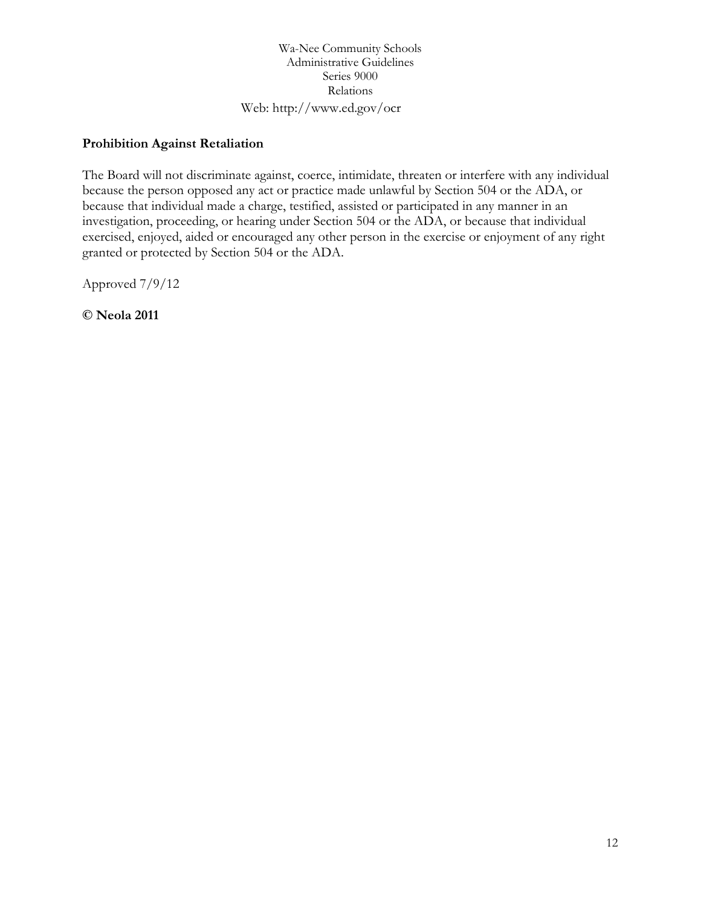Wa-Nee Community Schools Administrative Guidelines Series 9000 Relations Web: http://www.ed.gov/ocr

# **Prohibition Against Retaliation**

The Board will not discriminate against, coerce, intimidate, threaten or interfere with any individual because the person opposed any act or practice made unlawful by Section 504 or the ADA, or because that individual made a charge, testified, assisted or participated in any manner in an investigation, proceeding, or hearing under Section 504 or the ADA, or because that individual exercised, enjoyed, aided or encouraged any other person in the exercise or enjoyment of any right granted or protected by Section 504 or the ADA.

Approved 7/9/12

**© Neola 2011**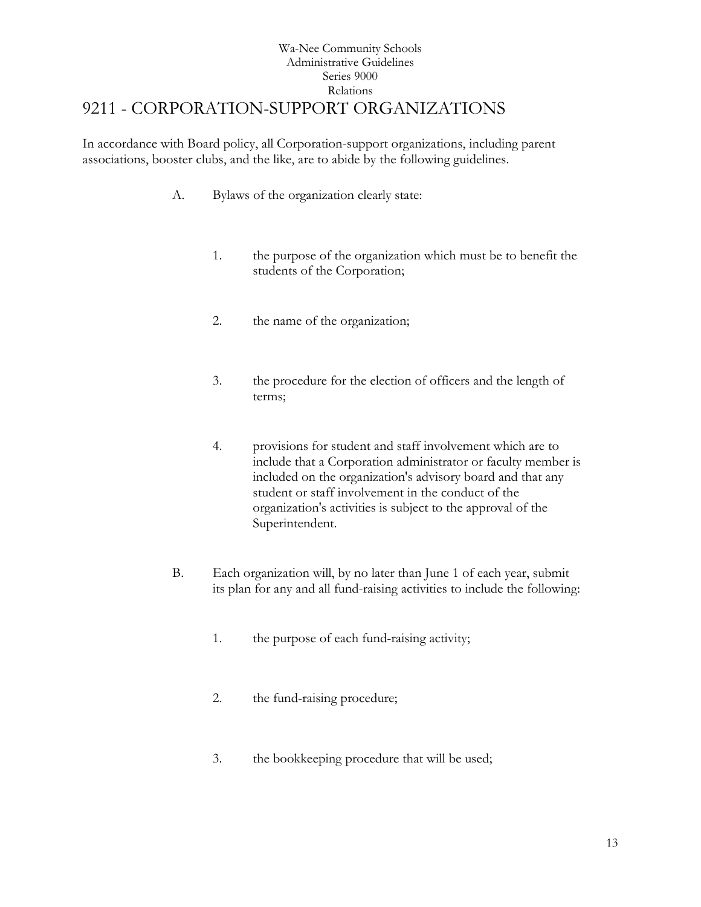# Wa-Nee Community Schools Administrative Guidelines Series 9000 Relations [9211](http://www.neola.com/wanee-in/search/policies/po9211.htm) - CORPORATION-SUPPORT ORGANIZATIONS

<span id="page-12-0"></span>In accordance with Board policy, all Corporation-support organizations, including parent associations, booster clubs, and the like, are to abide by the following guidelines.

- A. Bylaws of the organization clearly state:
	- 1. the purpose of the organization which must be to benefit the students of the Corporation;
	- 2. the name of the organization;
	- 3. the procedure for the election of officers and the length of terms;
	- 4. provisions for student and staff involvement which are to include that a Corporation administrator or faculty member is included on the organization's advisory board and that any student or staff involvement in the conduct of the organization's activities is subject to the approval of the Superintendent.
- B. Each organization will, by no later than June 1 of each year, submit its plan for any and all fund-raising activities to include the following:
	- 1. the purpose of each fund-raising activity;
	- 2. the fund-raising procedure;
	- 3. the bookkeeping procedure that will be used;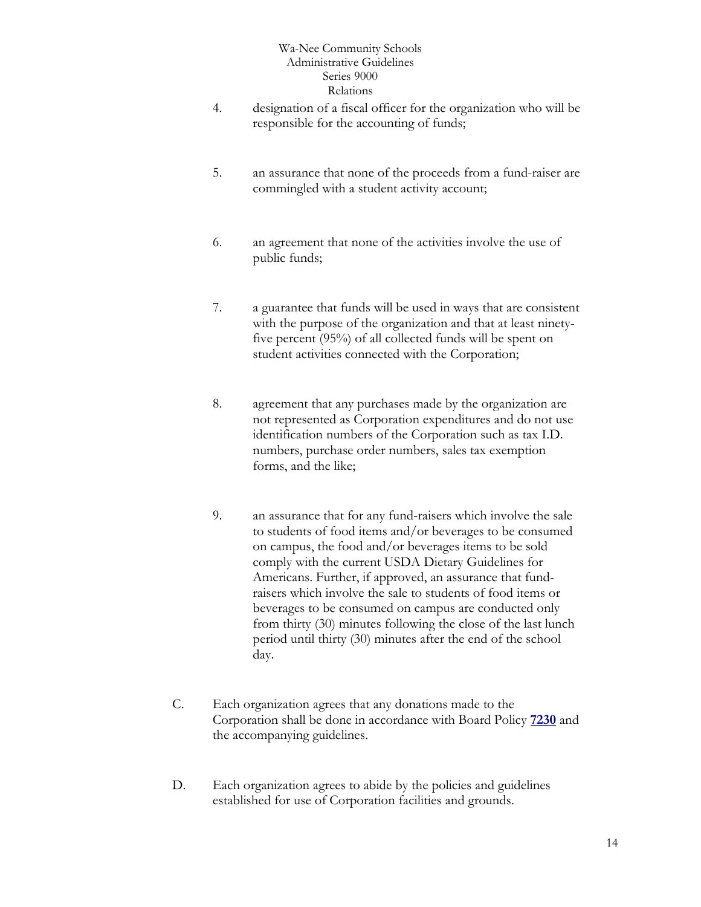- 4. designation of a fiscal officer for the organization who will be responsible for the accounting of funds;
- 5. an assurance that none of the proceeds from a fund-raiser are commingled with a student activity account;
- 6. an agreement that none of the activities involve the use of public funds;
- 7. a guarantee that funds will be used in ways that are consistent with the purpose of the organization and that at least ninetyfive percent (95%) of all collected funds will be spent on student activities connected with the Corporation;
- 8. agreement that any purchases made by the organization are not represented as Corporation expenditures and do not use identification numbers of the Corporation such as tax I.D. numbers, purchase order numbers, sales tax exemption forms, and the like;
- 9. an assurance that for any fund-raisers which involve the sale to students of food items and/or beverages to be consumed on campus, the food and/or beverages items to be sold comply with the current USDA Dietary Guidelines for Americans. Further, if approved, an assurance that fundraisers which involve the sale to students of food items or beverages to be consumed on campus are conducted only from thirty (30) minutes following the close of the last lunch period until thirty (30) minutes after the end of the school day.
- C. Each organization agrees that any donations made to the Corporation shall be done in accordance with Board Policy **[7230](http://www.neola.com/wanee-in/search/policies/po7230.htm)** and the accompanying guidelines.
- D. Each organization agrees to abide by the policies and guidelines established for use of Corporation facilities and grounds.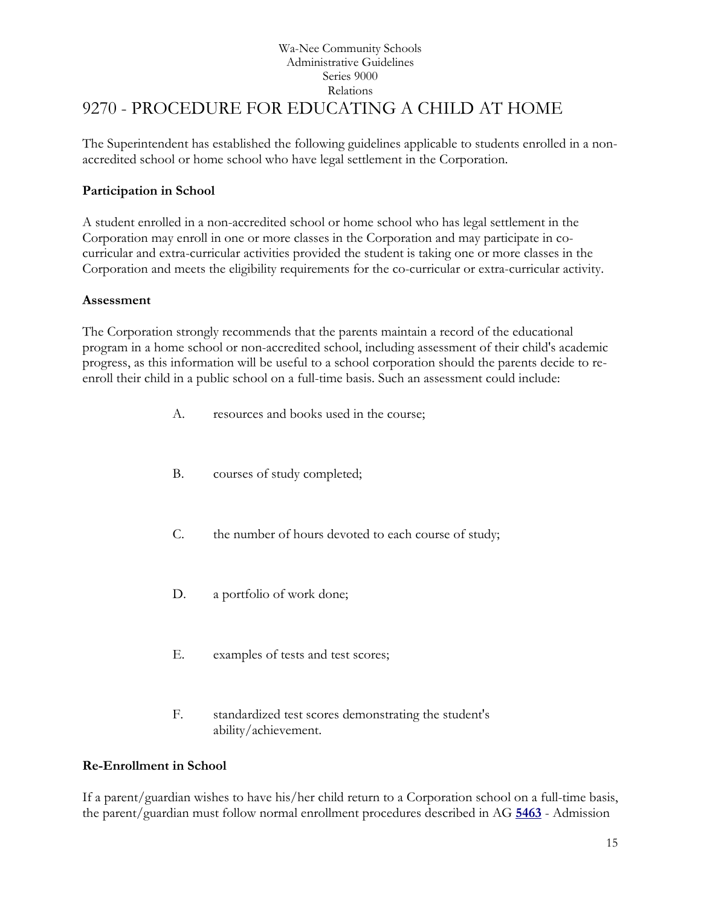# Wa-Nee Community Schools Administrative Guidelines Series 9000 Relations [9270](http://www.neola.com/wanee-in/search/policies/po9270.htm) - PROCEDURE FOR EDUCATING A CHILD AT HOME

<span id="page-14-0"></span>The Superintendent has established the following guidelines applicable to students enrolled in a nonaccredited school or home school who have legal settlement in the Corporation.

# **Participation in School**

A student enrolled in a non-accredited school or home school who has legal settlement in the Corporation may enroll in one or more classes in the Corporation and may participate in cocurricular and extra-curricular activities provided the student is taking one or more classes in the Corporation and meets the eligibility requirements for the co-curricular or extra-curricular activity.

## **Assessment**

The Corporation strongly recommends that the parents maintain a record of the educational program in a home school or non-accredited school, including assessment of their child's academic progress, as this information will be useful to a school corporation should the parents decide to reenroll their child in a public school on a full-time basis. Such an assessment could include:

- A. resources and books used in the course;
- B. courses of study completed;
- C. the number of hours devoted to each course of study;
- D. a portfolio of work done;
- E. examples of tests and test scores;
- F. standardized test scores demonstrating the student's ability/achievement.

## **Re-Enrollment in School**

If a parent/guardian wishes to have his/her child return to a Corporation school on a full-time basis, the parent/guardian must follow normal enrollment procedures described in AG **[5463](http://www.neola.com/wanee-in/search/ag/ag5463.htm)** - Admission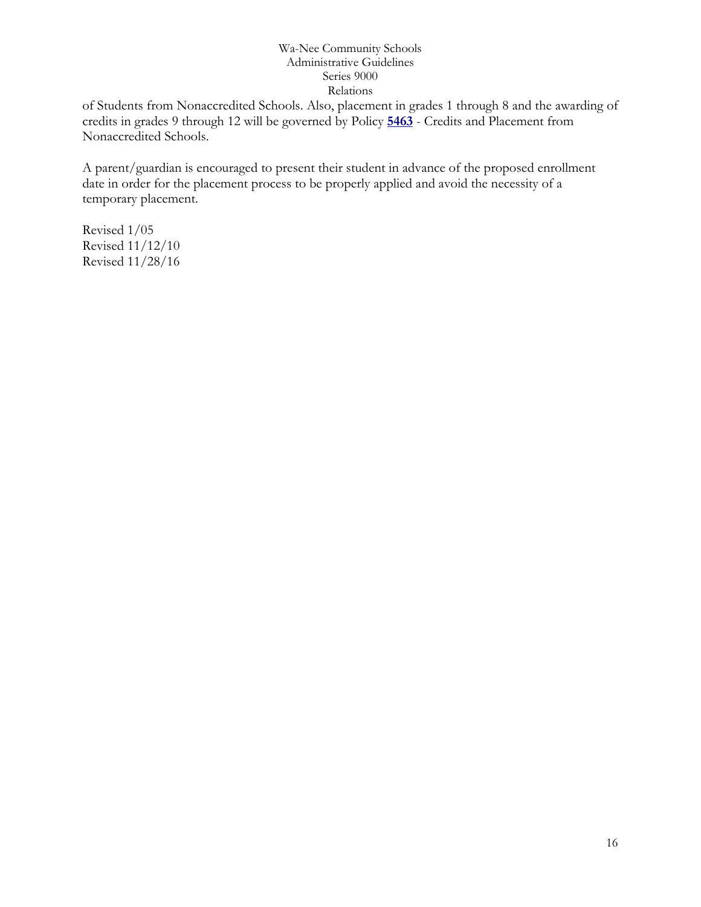of Students from Nonaccredited Schools. Also, placement in grades 1 through 8 and the awarding of credits in grades 9 through 12 will be governed by Policy **[5463](http://www.neola.com/wanee-in/search/policies/po5463.htm)** - Credits and Placement from Nonaccredited Schools.

A parent/guardian is encouraged to present their student in advance of the proposed enrollment date in order for the placement process to be properly applied and avoid the necessity of a temporary placement.

Revised 1/05 Revised 11/12/10 Revised 11/28/16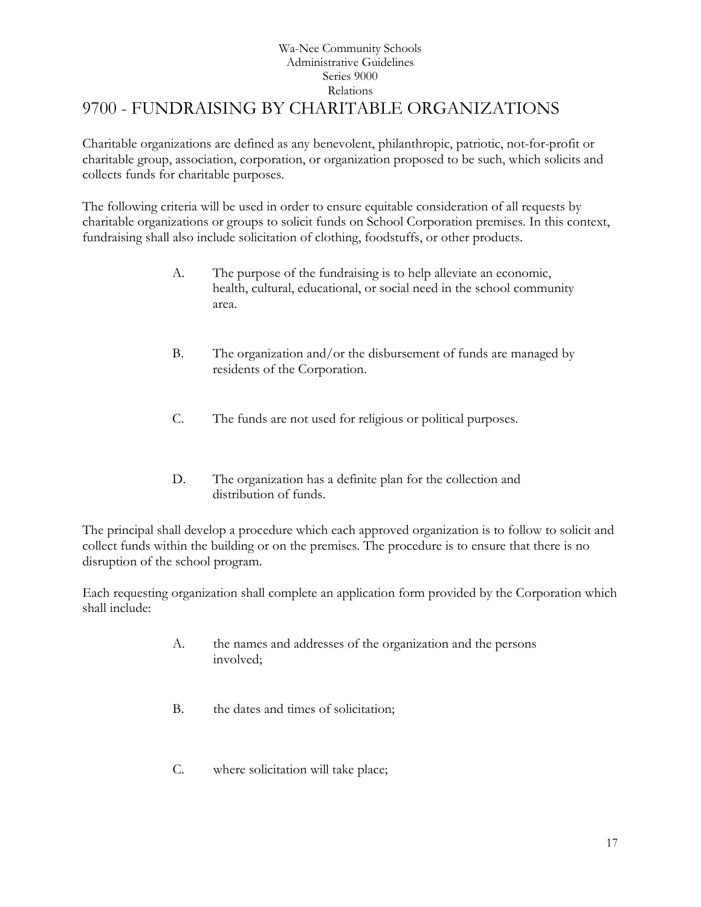# Wa-Nee Community Schools Administrative Guidelines Series 9000 Relations [9700](http://www.neola.com/wanee-in/search/policies/po9700.htm) - FUNDRAISING BY CHARITABLE ORGANIZATIONS

<span id="page-16-0"></span>Charitable organizations are defined as any benevolent, philanthropic, patriotic, not-for-profit or charitable group, association, corporation, or organization proposed to be such, which solicits and collects funds for charitable purposes.

The following criteria will be used in order to ensure equitable consideration of all requests by charitable organizations or groups to solicit funds on School Corporation premises. In this context, fundraising shall also include solicitation of clothing, foodstuffs, or other products.

- A. The purpose of the fundraising is to help alleviate an economic, health, cultural, educational, or social need in the school community area.
- B. The organization and/or the disbursement of funds are managed by residents of the Corporation.
- C. The funds are not used for religious or political purposes.
- D. The organization has a definite plan for the collection and distribution of funds.

The principal shall develop a procedure which each approved organization is to follow to solicit and collect funds within the building or on the premises. The procedure is to ensure that there is no disruption of the school program.

Each requesting organization shall complete an application form provided by the Corporation which shall include:

- A. the names and addresses of the organization and the persons involved;
- B. the dates and times of solicitation;
- C. where solicitation will take place;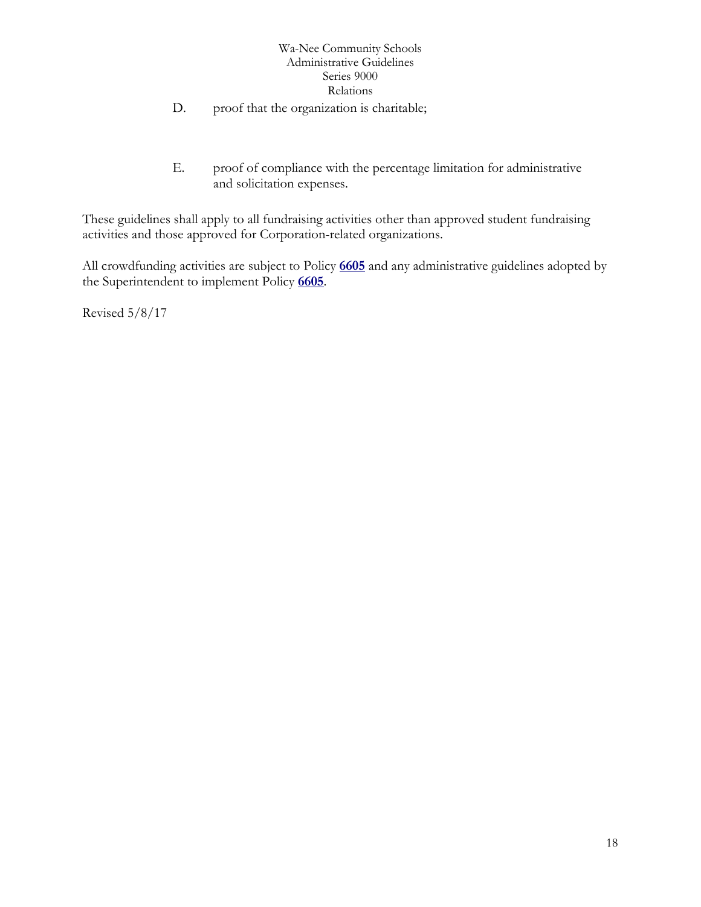- D. proof that the organization is charitable;
- E. proof of compliance with the percentage limitation for administrative and solicitation expenses.

These guidelines shall apply to all fundraising activities other than approved student fundraising activities and those approved for Corporation-related organizations.

All crowdfunding activities are subject to Policy **[6605](http://www.neola.com/wanee-in/search/policies/po6605.htm)** and any administrative guidelines adopted by the Superintendent to implement Policy **[6605](http://www.neola.com/wanee-in/search/policies/po6605.htm)**.

Revised 5/8/17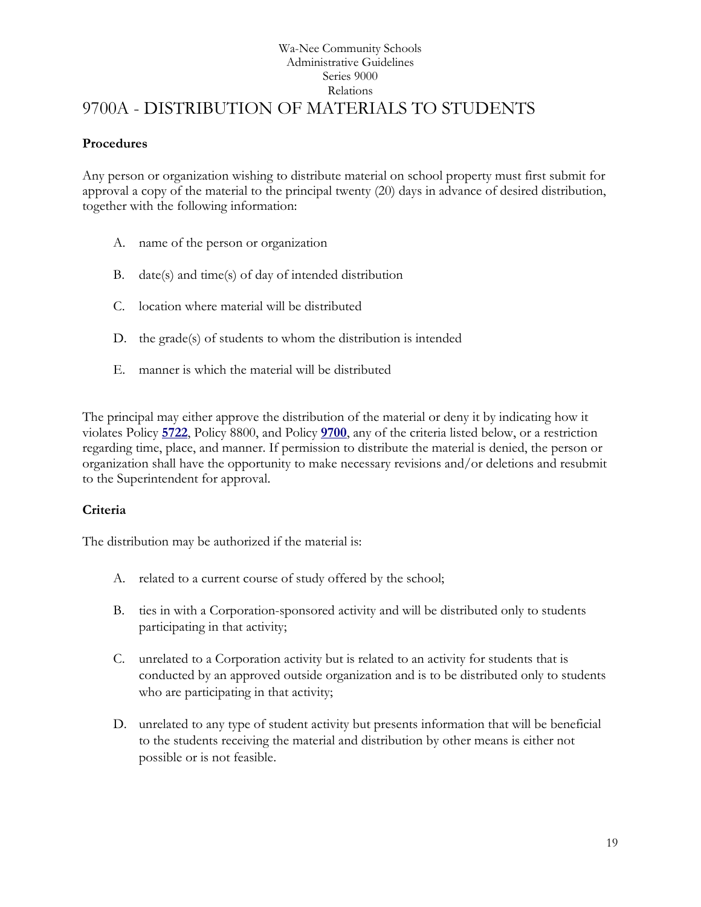## Wa-Nee Community Schools Administrative Guidelines Series 9000 Relations 9700A - DISTRIBUTION OF MATERIALS TO STUDENTS

## <span id="page-18-0"></span>**Procedures**

Any person or organization wishing to distribute material on school property must first submit for approval a copy of the material to the principal twenty (20) days in advance of desired distribution, together with the following information:

- A. name of the person or organization
- B. date(s) and time(s) of day of intended distribution
- C. location where material will be distributed
- D. the grade(s) of students to whom the distribution is intended
- E. manner is which the material will be distributed

The principal may either approve the distribution of the material or deny it by indicating how it violates Policy **[5722](http://www.neola.com/wanee-in/search/policies/po5722.htm)**, Policy 8800, and Policy **[9700](http://www.neola.com/wanee-in/search/policies/po9700.htm)**, any of the criteria listed below, or a restriction regarding time, place, and manner. If permission to distribute the material is denied, the person or organization shall have the opportunity to make necessary revisions and/or deletions and resubmit to the Superintendent for approval.

## **Criteria**

The distribution may be authorized if the material is:

- A. related to a current course of study offered by the school;
- B. ties in with a Corporation-sponsored activity and will be distributed only to students participating in that activity;
- C. unrelated to a Corporation activity but is related to an activity for students that is conducted by an approved outside organization and is to be distributed only to students who are participating in that activity;
- D. unrelated to any type of student activity but presents information that will be beneficial to the students receiving the material and distribution by other means is either not possible or is not feasible.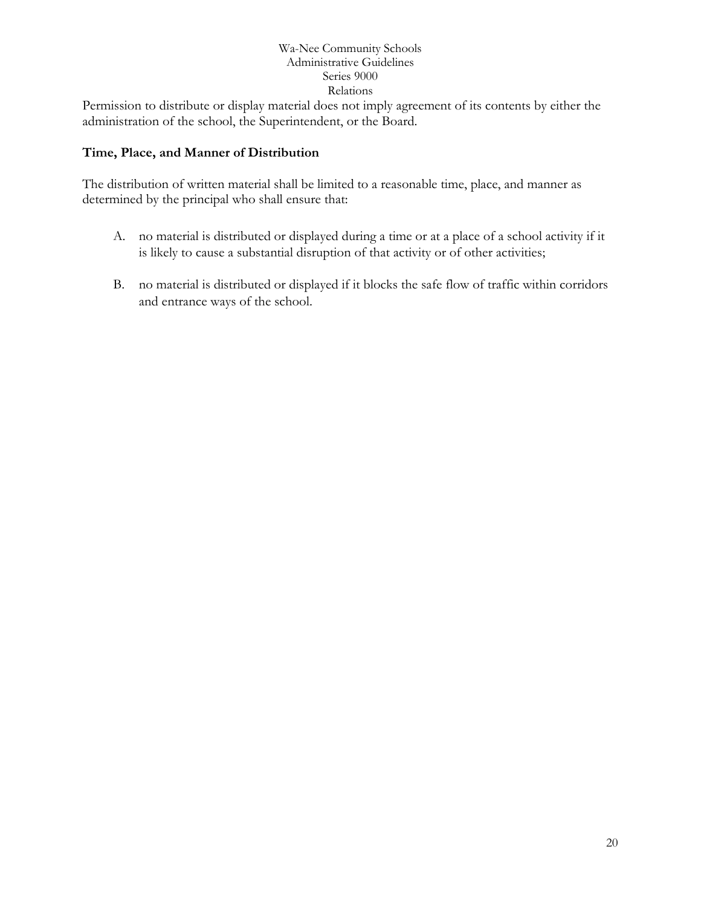Permission to distribute or display material does not imply agreement of its contents by either the administration of the school, the Superintendent, or the Board.

# **Time, Place, and Manner of Distribution**

The distribution of written material shall be limited to a reasonable time, place, and manner as determined by the principal who shall ensure that:

- A. no material is distributed or displayed during a time or at a place of a school activity if it is likely to cause a substantial disruption of that activity or of other activities;
- B. no material is distributed or displayed if it blocks the safe flow of traffic within corridors and entrance ways of the school.